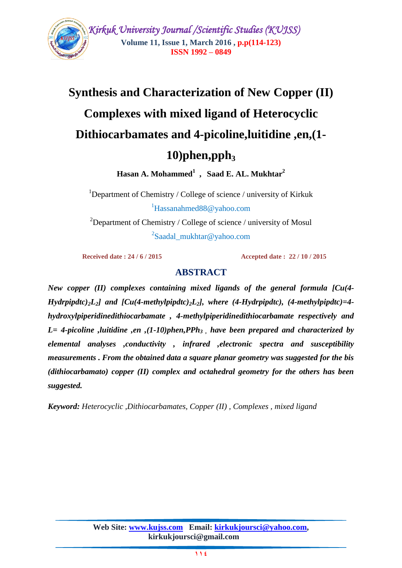

# **Synthesis and Characterization of New Copper (II) Complexes with mixed ligand of Heterocyclic Dithiocarbamates and 4-picoline,luitidine ,en,(1- 10)phen,pph<sup>3</sup>**

**Hasan A. Mohammed<sup>1</sup> , Saad E. AL. Mukhtar<sup>2</sup>**

<sup>1</sup>Department of Chemistry / College of science / university of Kirkuk  ${}^{1}$ Hassanahmed $88@$ yahoo.com

<sup>2</sup>Department of Chemistry / College of science / university of Mosul <sup>2</sup>Saadal\_mukhtar@yahoo.com

 **Received date : 24 / 6 / 2015 Accepted date : 22 / 10 / 2015**

# **ABSTRACT**

*New copper (II) complexes containing mixed ligands of the general formula [Cu(4- Hydrpipdtc)*<sub>2</sub>*L*<sub>2</sub>*]* and  $\int Cu(4-methylpipdtc)$ <sub>2</sub>*L*<sub>2</sub>*]*, where (4-Hydrpipdtc), (4-methylpipdtc)=4*hydroxylpiperidinedithiocarbamate , 4-methylpiperidinedithiocarbamate respectively and L= 4-picoline ,luitidine ,en ,(1-10)phen,PPh3 , have been prepared and characterized by elemental analyses ,conductivity , infrared ,electronic spectra and susceptibility measurements . From the obtained data a square planar geometry was suggested for the bis (dithiocarbamato) copper (II) complex and octahedral geometry for the others has been suggested.*

*Keyword: Heterocyclic ,Dithiocarbamates, Copper (II) , Complexes , mixed ligand*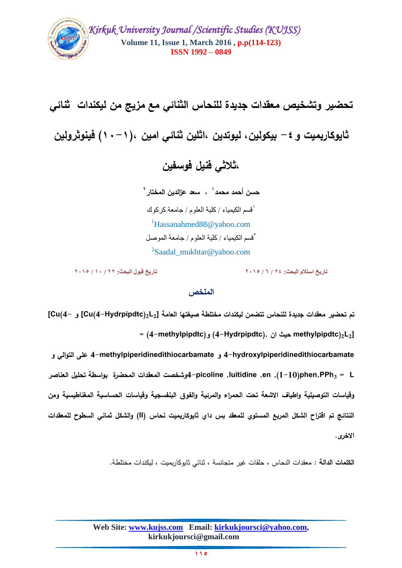

**تحضير وتشخيص معقدات جديدة لمنحاس الثنائي مع مزيج من ليكندات ثنائي ثايوكاربميت و-4 بيكولين, ليوتدين ,اثمين ثنائي امين ,)11-1( فينوثرولين ,ثالثي فنيل فوسفين 1 حسن أحمد محمد , سعد عزالدين المختار 2**

1 قسن الكيوياء / كلية العلوم / جاهعة كركوك <sup>1</sup>Hassanahmed88@yahoo.com 2 قسن الكيوياء / كلية العلوم / جاهعة الووصل <sup>2</sup>Saadal\_mukhtar@yahoo.com

**تاريخ استالم البحث: 24 / 6 / 2015 تاريخ قبول البحث: 22 / 10 / 2015**

#### **الممخص**

**تم تحضير معقدات جديدة لمنحاس تتضمن ليكندات مختمطة صيغتها العامة [2L2)Hydrpipdtc4-(Cu [و 4-)Cu[ = (4-methylpipdtc)و) 4-Hydrpipdtc), ان حيث methylpipdtc)2L2]**

**hydroxylpiperidinedithiocarbamate4- و methylpiperidinedithiocarbamate4- عمى التوالي و L = <sup>3</sup>PPh,phen)1-10(, en, luitidine, picoline4-وشخصت المعقدات المحضرة بواسطة تحميل العناصر وقياسات التوصيمية واطياف االشعة تحت الحمراء والمرئية والفوق البنفسجية وقياسات الحساسية المغناطيسية ومن النتائج تم اقتراح الشكل المربع المستوي لممعقد بس داي ثايوكاربميت نحاس )II )والشكل ثماني السطوح لممعقدات االخرى.**

**الكممات الدالة :** معقدات النحاس , حمقات غير متجانسة , ثنائي ثايوكاربميت , ليكندات مختمطة.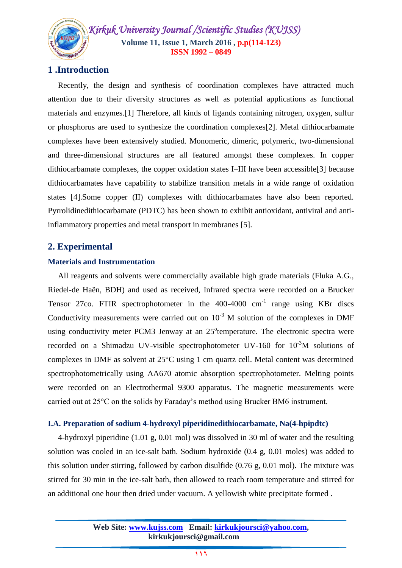# **1 .Introduction**

 Recently, the design and synthesis of coordination complexes have attracted much attention due to their diversity structures as well as potential applications as functional materials and enzymes.[1] Therefore, all kinds of ligands containing nitrogen, oxygen, sulfur or phosphorus are used to synthesize the coordination complexes[2]. Metal dithiocarbamate complexes have been extensively studied. Monomeric, dimeric, polymeric, two-dimensional and three-dimensional structures are all featured amongst these complexes. In copper dithiocarbamate complexes, the copper oxidation states I–III have been accessible[3] because dithiocarbamates have capability to stabilize transition metals in a wide range of oxidation states [4].Some copper (II) complexes with dithiocarbamates have also been reported. Pyrrolidinedithiocarbamate (PDTC) has been shown to exhibit antioxidant, antiviral and antiinflammatory properties and metal transport in membranes [5].

# **2. Experimental**

#### **Materials and Instrumentation**

 All reagents and solvents were commercially available high grade materials (Fluka A.G., Riedel-de Haën, BDH) and used as received, Infrared spectra were recorded on a Brucker Tensor 27co. FTIR spectrophotometer in the  $400-4000$  cm<sup>-1</sup> range using KBr discs Conductivity measurements were carried out on  $10^{-3}$  M solution of the complexes in DMF using conductivity meter PCM3 Jenway at an  $25^\circ$ temperature. The electronic spectra were recorded on a Shimadzu UV-visible spectrophotometer UV-160 for  $10^{-3}M$  solutions of complexes in DMF as solvent at 25°C using 1 cm quartz cell. Metal content was determined spectrophotometrically using AA670 atomic absorption spectrophotometer. Melting points were recorded on an Electrothermal 9300 apparatus. The magnetic measurements were carried out at 25°C on the solids by Faraday's method using Brucker BM6 instrument.

### **I.A. Preparation of sodium 4-hydroxyl piperidinedithiocarbamate, Na(4-hpipdtc)**

 4-hydroxyl piperidine (1.01 g, 0.01 mol) was dissolved in 30 ml of water and the resulting solution was cooled in an ice-salt bath. Sodium hydroxide (0.4 g, 0.01 moles) was added to this solution under stirring, followed by carbon disulfide  $(0.76 \text{ g}, 0.01 \text{ mol})$ . The mixture was stirred for 30 min in the ice-salt bath, then allowed to reach room temperature and stirred for an additional one hour then dried under vacuum. A yellowish white precipitate formed .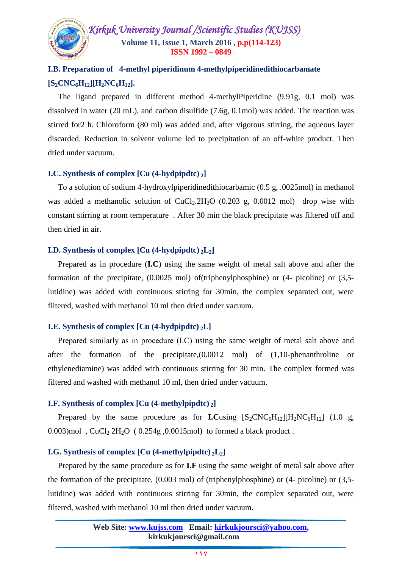

# **I.B. Preparation of 4-methyl piperidinum 4-methylpiperidinedithiocarbamate**  $[S_2$ **CNC**<sub>6</sub>**H**<sub>12</sub>][**H**<sub>2</sub>**NC**<sub>6</sub>**H**<sub>12</sub>].

 The ligand prepared in different method 4-methylPiperidine (9.91g, 0.1 mol) was dissolved in water (20 mL), and carbon disulfide (7.6g, 0.1mol) was added. The reaction was stirred for2 h. Chloroform (80 ml) was added and, after vigorous stirring, the aqueous layer discarded. Reduction in solvent volume led to precipitation of an off-white product. Then dried under vacuum.

#### **I.C. Synthesis of complex [Cu (4-hydpipdtc) <sup>2</sup>]**

 To a solution of sodium 4-hydroxylpiperidinedithiocarbamic (0.5 g, .0025mol) in methanol was added a methanolic solution of  $CuCl<sub>2</sub>.2H<sub>2</sub>O$  (0.203 g, 0.0012 mol) drop wise with constant stirring at room temperature . After 30 min the black precipitate was filtered off and then dried in air.

#### **I.D. Synthesis of complex**  $\left[\text{Cu } (4\text{-hydpi}t)\right]$

 Prepared as in procedure (**I.C**) using the same weight of metal salt above and after the formation of the precipitate, (0.0025 mol) of(triphenylphosphine) or (4- picoline) or (3,5 lutidine) was added with continuous stirring for 30min, the complex separated out, were filtered, washed with methanol 10 ml then dried under vacuum.

#### **I.E. Synthesis of complex [Cu (4-hydpipdtc) <sup>2</sup>L]**

Prepared similarly as in procedure (I.C) using the same weight of metal salt above and after the formation of the precipitate,(0.0012 mol) of (1,10-phenanthroline or ethylenediamine) was added with continuous stirring for 30 min. The complex formed was filtered and washed with methanol 10 ml, then dried under vacuum.

#### **I.F. Synthesis of complex [Cu (4-methylpipdtc) <sup>2</sup>]**

Prepared by the same procedure as for **I.C**using  $[S_2CNC_6H_{12}][H_2NC_6H_{12}]$  (1.0 g, 0.003)mol,  $CuCl<sub>2</sub> 2H<sub>2</sub>O$  (0.254g, 0.0015mol) to formed a black product.

#### **I.G. Synthesis of complex [Cu (4-methylpipdtc) <sup>2</sup>L2]**

 Prepared by the same procedure as for **I.F** using the same weight of metal salt above after the formation of the precipitate, (0.003 mol) of (triphenylphosphine) or (4- picoline) or (3,5 lutidine) was added with continuous stirring for 30min, the complex separated out, were filtered, washed with methanol 10 ml then dried under vacuum.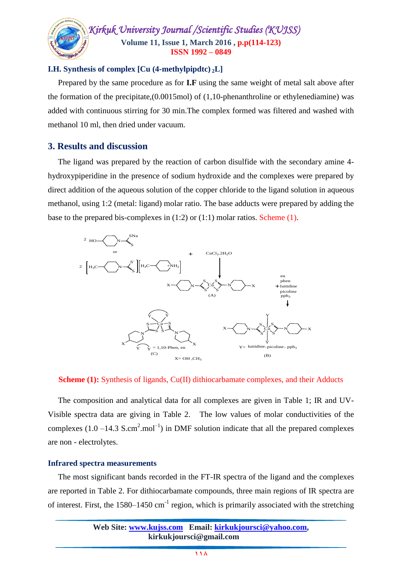#### **I.H. Synthesis of complex [Cu (4-methylpipdtc) <sup>2</sup>L]**

 Prepared by the same procedure as for **I.F** using the same weight of metal salt above after the formation of the precipitate, $(0.0015 \text{mol})$  of  $(1,10)$ -phenanthroline or ethylenediamine) was added with continuous stirring for 30 min.The complex formed was filtered and washed with methanol 10 ml, then dried under vacuum.

## **3. Results and discussion**

 The ligand was prepared by the reaction of carbon disulfide with the secondary amine 4 hydroxypiperidine in the presence of sodium hydroxide and the complexes were prepared by direct addition of the aqueous solution of the copper chloride to the ligand solution in aqueous methanol, using 1:2 (metal: ligand) molar ratio. The base adducts were prepared by adding the base to the prepared bis-complexes in (1:2) or (1:1) molar ratios. Scheme (1).



#### **Scheme (1):** Synthesis of ligands, Cu(II) dithiocarbamate complexes, and their Adducts

 The composition and analytical data for all complexes are given in Table 1; IR and UV-Visible spectra data are giving in Table 2. The low values of molar conductivities of the complexes  $(1.0 - 14.3 \text{ S.cm}^2 \cdot \text{mol}^{-1})$  in DMF solution indicate that all the prepared complexes are non - electrolytes.

#### **Infrared spectra measurements**

 The most significant bands recorded in the FT-IR spectra of the ligand and the complexes are reported in Table 2. For dithiocarbamate compounds, three main regions of IR spectra are of interest. First, the  $1580-1450$  cm<sup>-1</sup> region, which is primarily associated with the stretching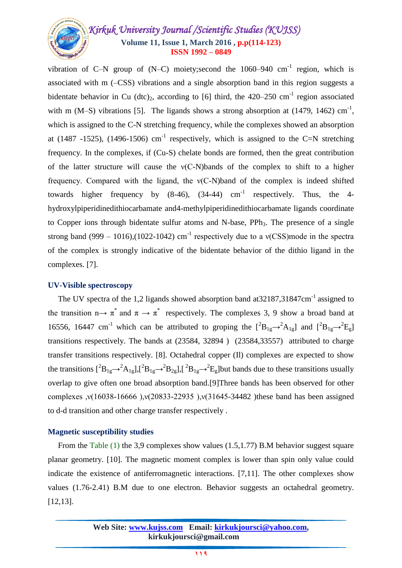vibration of C–N group of  $(N-C)$  moiety; second the 1060–940 cm<sup>-1</sup> region, which is associated with m (–CSS) vibrations and a single absorption band in this region suggests a bidentate behavior in Cu  $(\text{dtc})_2$ , according to [6] third, the 420–250 cm<sup>-1</sup> region associated with m (M–S) vibrations [5]. The ligands shows a strong absorption at (1479, 1462)  $cm^{-1}$ , which is assigned to the C-N stretching frequency, while the complexes showed an absorption at (1487 -1525), (1496-1506)  $cm^{-1}$  respectively, which is assigned to the C=N stretching frequency. In the complexes, if (Cu-S) chelate bonds are formed, then the great contribution of the latter structure will cause the ν(C-N)bands of the complex to shift to a higher frequency. Compared with the ligand, the ν(C-N)band of the complex is indeed shifted towards higher frequency by  $(8-46)$ ,  $(34-44)$  cm<sup>-1</sup> respectively. Thus, the 4hydroxylpiperidinedithiocarbamate and4-methylpiperidinedithiocarbamate ligands coordinate to Copper ions through bidentate sulfur atoms and N-base,  $PPh<sub>3</sub>$ . The presence of a single strong band (999 – 1016),(1022-1042) cm<sup>-1</sup> respectively due to a v(CSS)mode in the spectra of the complex is strongly indicative of the bidentate behavior of the dithio ligand in the complexes. [7].

#### **UV-Visible spectroscopy**

The UV spectra of the 1,2 ligands showed absorption band at 32187, 31847cm<sup>-1</sup> assigned to the transition  $n \rightarrow \pi^*$  and  $\pi \rightarrow \pi^*$  respectively. The complexes 3, 9 show a broad band at 16556, 16447 cm<sup>-1</sup> which can be attributed to groping the  $[^2B_{1g} \rightarrow ^2A_{1g}]$  and  $[^2B_{1g} \rightarrow ^2E_g]$ transitions respectively. The bands at (23584, 32894 ) (23584,33557) attributed to charge transfer transitions respectively. [8]. Octahedral copper (Il) complexes are expected to show the transitions  $[^2B_{1g} \rightarrow ^2A_{1g}]$ ,  $[^2B_{1g} \rightarrow ^2B_{2g}]$ ,  $[^2B_{1g} \rightarrow ^2E_g]$  but bands due to these transitions usually overlap to give often one broad absorption band.[9]Three bands has been observed for other complexes ,ν(16038-16666 ),ν(20833-22935 ),ν(31645-34482 )these band has been assigned to d-d transition and other charge transfer respectively .

### **Magnetic susceptibility studies**

From the Table (1) the 3,9 complexes show values (1.5,1.77) B.M behavior suggest square planar geometry. [10]. The magnetic moment complex is lower than spin only value could indicate the existence of antiferromagnetic interactions. [7,11]. The other complexes show values (1.76-2.41) B.M due to one electron. Behavior suggests an octahedral geometry. [12,13].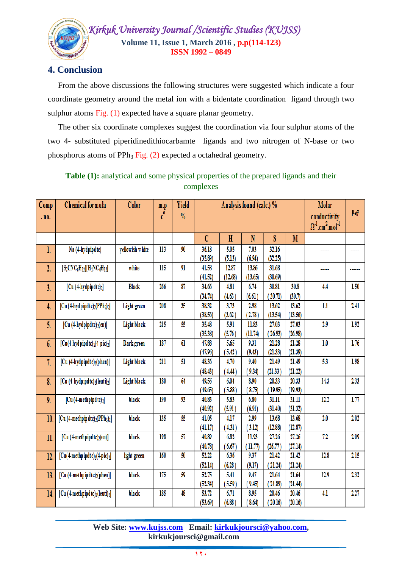

# **4. Conclusion**

 From the above discussions the following structures were suggested which indicate a four coordinate geometry around the metal ion with a bidentate coordination ligand through two sulphur atoms Fig. (1) expected have a square planar geometry.

 The other six coordinate complexes suggest the coordination via four sulphur atoms of the two 4- substituted piperidinedithiocarbamte ligands and two nitrogen of N-base or two phosphorus atoms of PPh<sub>3</sub> Fig.  $(2)$  expected a octahedral geometry.

Table (1): analytical and some physical properties of the prepared ligands and their complexes

| Comp<br>.no.     | <b>Chemical</b> for mula                                       | Color           | m.p<br>$c^{\circ}$ | <b>Yield</b><br>$\frac{0}{0}$ | Analysis found (calc.) % |                  |                  |                  |                  | Molar<br>conductivity<br>$\Omega^1$ .cm <sup>2</sup> .mol <sup>-1</sup> | $\mu_{\text{eff}}$ |
|------------------|----------------------------------------------------------------|-----------------|--------------------|-------------------------------|--------------------------|------------------|------------------|------------------|------------------|-------------------------------------------------------------------------|--------------------|
|                  |                                                                |                 |                    |                               | $\mathcal{C}$            | $\mathbf H$      | N                | S                | M                |                                                                         |                    |
| l.               | Na (4-hydpipdtc)                                               | yellowish white | 113                | 90                            | 36.18<br>(35.89)         | 5.05<br>(5.13)   | 7.03<br>(6.94)   | 32.16<br>(32.25) |                  |                                                                         |                    |
| $\overline{2}$ . | $[S_2CNC_6H_{12}][H_2NC_6H_{12}]$                              | white           | 115                | 91                            | 41.58<br>(41.52)         | 12.87<br>(12.68) | 13.86<br>(13.65) | 31.68<br>(30.69) |                  |                                                                         |                    |
| 3.               | $[Cu (4-hydpipdtc)2]$                                          | <b>Black</b>    | 266                | 87                            | 34.66<br>(34.74)         | 4.81<br>(4.63)   | 6.74<br>(6.61)   | 30.81<br>(30.71) | 30.8<br>(30.7)   | 4.4                                                                     | 1.50               |
| 4.               | $[Cu (4-hyd$ pipdtc $)_{2}$ (PPh <sub>3</sub> ) <sub>2</sub> ] | Light green     | 208                | 35                            | 38.32<br>(38.56)         | 3.73<br>(3.62)   | 2.98<br>(2.78)   | 13.62<br>(13.54) | 13.62<br>(13.56) | 1.1                                                                     | 2.41               |
| 5.               | [Cu $(4-hydpipdtc)_{2}(en)$ ]                                  | Light black     | 215                | 55                            | 35.48<br>(35.38)         | 5.91<br>(5.76)   | 11.83<br>(11.74) | 27.03<br>(26.93) | 27.03<br>(26.98) | 2.9                                                                     | 1.92               |
| 6.               | $[Cu(4-hyd$ pipd tc) $2(4-pic)2]$                              | Dark green      | 187                | 61                            | 47.88<br>(47.96)         | 5.65<br>(5.42)   | 9.31<br>(9.43)   | 21.28<br>(21.33) | 21.28<br>(21.39) | 1.0                                                                     | 1.76               |
| 7.               | [Cu (4-hydpipdtc)2(phen)]                                      | Light black     | 211                | 51                            | 48.36<br>(48.43)         | 4.70<br>(4.44)   | 9.40<br>9.34)    | 21.49<br>(21.33) | 21.49<br>(21.22) | 53                                                                      | 1.98               |
| 8.               | [Cu (4-hydpipdtc)2(leuti)2]                                    | Light black     | 180                | 64                            | 49.56<br>(49.65)         | 6.04<br>(5.88)   | 8.90<br>8.75     | 20.33<br>(19.95) | 20.33<br>(19.93) | 14.3                                                                    | 2.33               |
| 9.               | $[Cu(4-meth pipdtc)2]$                                         | black           | 190                | 93                            | 40.83<br>(40.92)         | 5.83<br>(5.91)   | 6.80<br>(6.91)   | 31.11<br>(31.40) | 31.11<br>(31.32) | 12.2                                                                    | 1.77               |
| 10.              | $[Cu (4-methpip dtc)2(PPh3)2]$                                 | black           | 135                | 55                            | 41.05<br>(41.17)         | 4.17<br>(4.31)   | 2.99<br>(3.12)   | 13.68<br>(12.88) | 13.68<br>(12.87) | 2.0                                                                     | 2.02               |
| 11.              | [Cu (4-methpipdtc) <sub>2</sub> (en)]                          | black           | 198                |                               | 40.89<br>(40.78)         | 6.82<br>(6.67)   | 11.93<br>(11.77) | 27.26<br>(26.77) | 27.26<br>(27.14) | 72                                                                      | 2.09               |
| 12.              | $[Cu(4-methpipdtc)2(4-pic)2]$                                  | light green     | 160                | 50                            | 52.22<br>(52.14)         | 6.36<br>(6.28)   | 9.37<br>(9.17)   | 21.42<br>(21.24) | 21.42<br>(21.24) | 12.8                                                                    | 2.15               |
| 13.              | [Cu (4-methpipdtc)2(phen)]                                     | black           | 175                | 59                            | 52.75<br>(52.34)         | 5.41<br>(5.59)   | 9.47<br>9.45     | 21.64<br>(21.89) | 21.64<br>(21.44) | 12.9                                                                    | 2.32               |
| 14.              | [Cu (4-methpipd tc)2(leuti)2]                                  | black           | 185                | 48                            | 53.72<br>(53, 69)        | 6.71<br>(6.88)   | 8.95<br>8.64     | 20.46<br>20.16   | 20.46<br>(20.16) | 4.1                                                                     | 2.27               |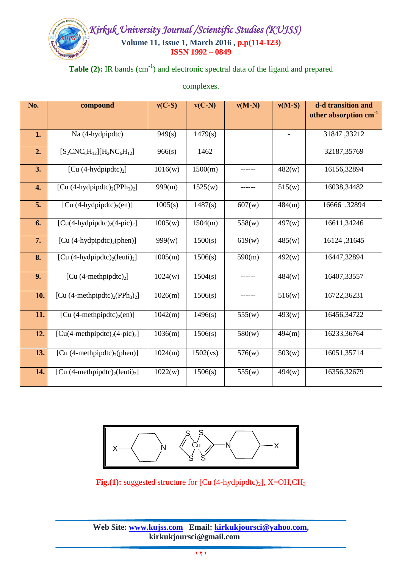# Table (2): IR bands (cm<sup>-1</sup>) and electronic spectral data of the ligand and prepared

complexes.

| No. | compound                                               | $v(C-S)$ | $v(C-N)$ | $v(M-N)$ | $v(M-S)$ | d-d transition and<br>other absorption cm <sup>-1</sup> |
|-----|--------------------------------------------------------|----------|----------|----------|----------|---------------------------------------------------------|
| 1.  | Na (4-hydpipdtc)                                       | 949(s)   | 1479(s)  |          |          | 31847,33212                                             |
| 2.  | $[S_2CNC_6H_{12}][H_2NC_6H_{12}]$                      | 966(s)   | 1462     |          |          | 32187,35769                                             |
| 3.  | [Cu $(4-hydpj/dt)_{2}$ ]                               | 1016(w)  | 1500(m)  |          | 482(w)   | 16156,32894                                             |
| 4.  | [Cu $(4-hydpipdtc)2(PPh3)2$                            | 999(m)   | 1525(w)  |          | 515(w)   | 16038,34482                                             |
| 5.  | [Cu $(4-hydroipdtc)2(en)$ ]                            | 1005(s)  | 1487(s)  | 607(w)   | 484(m)   | 16666, 32894                                            |
| 6.  | $[Cu(4-hydroipdtc)2(4-pic)2]$                          | 1005(w)  | 1504(m)  | 558(w)   | 497(w)   | 16611,34246                                             |
| 7.  | [Cu $(4-hydroipdtc)2(phen)$ ]                          | 999(w)   | 1500(s)  | 619(w)   | 485(w)   | 16124, 31645                                            |
| 8.  | [Cu $(4-hydpipdtc)_{2}$ (leuti) <sub>2</sub> ]         | 1005(m)  | 1506(s)  | 590(m)   | 492(w)   | 16447,32894                                             |
| 9.  | [Cu $(4\text{-meth pipdtc})_2$ ]                       | 1024(w)  | 1504(s)  | ------   | 484(w)   | 16407,33557                                             |
| 10. | [Cu $(4\text{-methpipdtc})_2(\text{PPh}_3)_2$ ]        | 1026(m)  | 1506(s)  |          | 516(w)   | 16722,36231                                             |
| 11. | [Cu $(4\text{-methpipdtc})_2(\text{en})$ ]             | 1042(m)  | 1496(s)  | 555(w)   | 493(w)   | 16456,34722                                             |
| 12. | $[Cu(4-meth pipdtc)2(4-pic)2]$                         | 1036(m)  | 1506(s)  | 580(w)   | 494(m)   | 16233,36764                                             |
| 13. | [Cu $(4\text{-methpipdtc})_2(\text{phen})$ ]           | 1024(m)  | 1502(vs) | 576(w)   | 503(w)   | 16051,35714                                             |
| 14. | [Cu (4-methpipdtc) <sub>2</sub> (leuti) <sub>2</sub> ] | 1022(w)  | 1506(s)  | 555(w)   | 494(w)   | 16356,32679                                             |



**Fig.(1):** suggested structure for [Cu (4-hydpipdtc)<sub>2</sub>], X=OH,CH<sub>3</sub>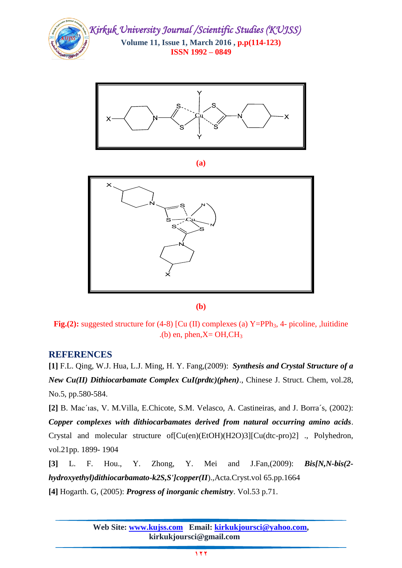



**(a)**



**(b)**

**Fig.(2):** suggested structure for (4-8) [Cu (II) complexes (a) Y=PPh<sub>3</sub>, 4- picoline, ,luitidine .(b) en, phen, $X=OH,CH<sub>3</sub>$ 

### **REFERENCES**

**[1]** F.L. Qing, W.J. Hua, L.J. Ming, H. Y. Fang,(2009): *Synthesis and Crystal Structure of a New Cu(II) Dithiocarbamate Complex CuI(prdtc)(phen)*., Chinese J. Struct. Chem, vol.28, No.5, pp.580-584.

**[2]** B. Mac´ıas, V. M.Villa, E.Chicote, S.M. Velasco, A. Castineiras, and J. Borra´s, (2002): *Copper complexes with dithiocarbamates derived from natural occurring amino acids*. Crystal and molecular structure of[Cu(en)(EtOH)(H2O)3][Cu(dtc-pro)2] ., Polyhedron, vol.21pp. 1899- 1904

**[3]** L. F. Hou., Y. Zhong, Y. Mei and J.Fan,(2009): *Bis[N,N-bis(2 hydroxyethyl)dithiocarbamato-k2S,S']copper(II*).,Acta.Cryst.vol 65.pp.1664 **[4]** Hogarth. G, (2005): *Progress of inorganic chemistry*. Vol.53 p.71.